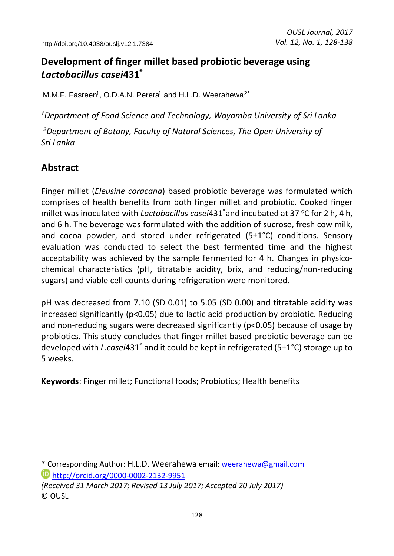## **Development of finger millet based probiotic beverage using**  *Lactobacillus casei***431®**

M.M.F. Fasreen<sup>1</sup>, O.D.A.N. Perera<sup>1</sup> and H.L.D. Weerahewa<sup>2\*</sup>

*<sup>1</sup>Department of Food Science and Technology, Wayamba University of Sri Lanka* 

*<sup>2</sup>Department of Botany, Faculty of Natural Sciences, The Open University of Sri Lanka* 

## **Abstract**

 $\overline{a}$ 

Finger millet (*Eleusine coracana*) based probiotic beverage was formulated which comprises of health benefits from both finger millet and probiotic. Cooked finger millet was inoculated with *Lactobacillus casei*431<sup>®</sup>and incubated at 37 °C for 2 h, 4 h, and 6 h. The beverage was formulated with the addition of sucrose, fresh cow milk, and cocoa powder, and stored under refrigerated (5±1°C) conditions. Sensory evaluation was conducted to select the best fermented time and the highest acceptability was achieved by the sample fermented for 4 h. Changes in physicochemical characteristics (pH, titratable acidity, brix, and reducing/non-reducing sugars) and viable cell counts during refrigeration were monitored.

pH was decreased from 7.10 (SD 0.01) to 5.05 (SD 0.00) and titratable acidity was increased significantly (p<0.05) due to lactic acid production by probiotic. Reducing and non-reducing sugars were decreased significantly (p<0.05) because of usage by probiotics. This study concludes that finger millet based probiotic beverage can be developed with *L.casei*431® and it could be kept in refrigerated (5±1°C) storage up to 5 weeks.

**Keywords**: Finger millet; Functional foods; Probiotics; Health benefits

<sup>\*</sup> Corresponding Author: H.L.D. Weerahewa email: [weerahewa@gmail.com](mailto:weerahewa@gmail.com) <http://orcid.org/0000-0002-2132-9951>

*<sup>(</sup>Received 31 March 2017; Revised 13 July 2017; Accepted 20 July 2017)*  © OUSL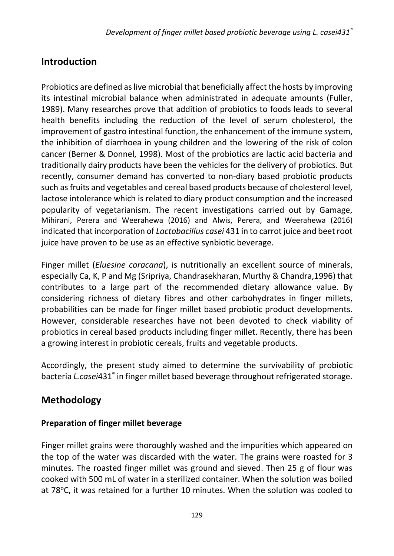## **Introduction**

Probiotics are defined as live microbial that beneficially affect the hosts by improving its intestinal microbial balance when administrated in adequate amounts (Fuller, 1989). Many researches prove that addition of probiotics to foods leads to several health benefits including the reduction of the level of serum cholesterol, the improvement of gastro intestinal function, the enhancement of the immune system, the inhibition of diarrhoea in young children and the lowering of the risk of colon cancer (Berner & Donnel, 1998). Most of the probiotics are lactic acid bacteria and traditionally dairy products have been the vehicles for the delivery of probiotics. But recently, consumer demand has converted to non-diary based probiotic products such as fruits and vegetables and cereal based products because of cholesterol level, lactose intolerance which is related to diary product consumption and the increased popularity of vegetarianism. The recent investigations carried out by Gamage, Mihirani, Perera and Weerahewa (2016) and Alwis, Perera, and Weerahewa (2016) indicated that incorporation of *Lactobacillus casei* 431 in to carrot juice and beet root juice have proven to be use as an effective synbiotic beverage.

Finger millet (*Eluesine coracana*), is nutritionally an excellent source of minerals, especially Ca, K, P and Mg (Sripriya, Chandrasekharan, Murthy & Chandra,1996) that contributes to a large part of the recommended dietary allowance value. By considering richness of dietary fibres and other carbohydrates in finger millets, probabilities can be made for finger millet based probiotic product developments. However, considerable researches have not been devoted to check viability of probiotics in cereal based products including finger millet. Recently, there has been a growing interest in probiotic cereals, fruits and vegetable products.

Accordingly, the present study aimed to determine the survivability of probiotic bacteria *L.casei*431® in finger millet based beverage throughout refrigerated storage*.* 

## **Methodology**

### **Preparation of finger millet beverage**

Finger millet grains were thoroughly washed and the impurities which appeared on the top of the water was discarded with the water. The grains were roasted for 3 minutes. The roasted finger millet was ground and sieved. Then 25 g of flour was cooked with 500 mL of water in a sterilized container. When the solution was boiled at 78°C, it was retained for a further 10 minutes. When the solution was cooled to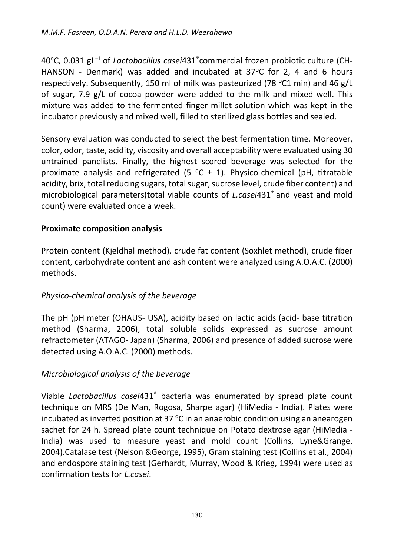40°C, 0.031 gL<sup>-1</sup> of *Lactobacillus casei*431 ဳcommercial frozen probiotic culture (CH-HANSON - Denmark) was added and incubated at  $37^{\circ}$ C for 2, 4 and 6 hours respectively. Subsequently, 150 ml of milk was pasteurized (78 °C1 min) and 46 g/L of sugar, 7.9 g/L of cocoa powder were added to the milk and mixed well. This mixture was added to the fermented finger millet solution which was kept in the incubator previously and mixed well, filled to sterilized glass bottles and sealed.

Sensory evaluation was conducted to select the best fermentation time. Moreover, color, odor, taste, acidity, viscosity and overall acceptability were evaluated using 30 untrained panelists. Finally, the highest scored beverage was selected for the proximate analysis and refrigerated (5  $\degree$ C  $\pm$  1). Physico-chemical (pH, titratable acidity, brix, total reducing sugars, total sugar, sucrose level, crude fiber content) and microbiological parameters(total viable counts of *L.casei*431® and yeast and mold count) were evaluated once a week.

#### **Proximate composition analysis**

Protein content (Kjeldhal method), crude fat content (Soxhlet method), crude fiber content, carbohydrate content and ash content were analyzed using A.O.A.C. (2000) methods.

#### *Physico-chemical analysis of the beverage*

The pH (pH meter (OHAUS- USA), acidity based on lactic acids (acid- base titration method (Sharma, 2006), total soluble solids expressed as sucrose amount refractometer (ATAGO- Japan) (Sharma, 2006) and presence of added sucrose were detected using A.O.A.C. (2000) methods.

#### *Microbiological analysis of the beverage*

Viable Lactobacillus casei431<sup>®</sup> bacteria was enumerated by spread plate count technique on MRS (De Man, Rogosa, Sharpe agar) (HiMedia - India). Plates were incubated as inverted position at 37  $\degree$ C in an anaerobic condition using an anearogen sachet for 24 h. Spread plate count technique on Potato dextrose agar (HiMedia - India) was used to measure yeast and mold count (Collins, Lyne&Grange, 2004).Catalase test (Nelson &George, 1995), Gram staining test (Collins et al., 2004) and endospore staining test (Gerhardt, Murray, Wood & Krieg, 1994) were used as confirmation tests for *L.casei*.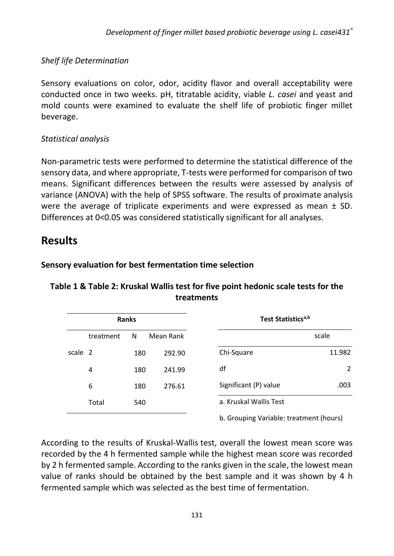#### *Shelf life Determination*

Sensory evaluations on color, odor, acidity flavor and overall acceptability were conducted once in two weeks. pH, titratable acidity, viable *L. casei* and yeast and mold counts were examined to evaluate the shelf life of probiotic finger millet beverage.

#### *Statistical analysis*

Non-parametric tests were performed to determine the statistical difference of the sensory data, and where appropriate, T-tests were performed for comparison of two means. Significant differences between the results were assessed by analysis of variance (ANOVA) with the help of SPSS software. The results of proximate analysis were the average of triplicate experiments and were expressed as mean ± SD. Differences at 0<0.05 was considered statistically significant for all analyses.

## **Results**

## **Sensory evaluation for best fermentation time selection**

#### **Table 1 & Table 2: Kruskal Wallis test for five point hedonic scale tests for the treatments**

| <b>Ranks</b> |           |     |           | Test Statistics <sup>a,b</sup>          |
|--------------|-----------|-----|-----------|-----------------------------------------|
|              | treatment | N   | Mean Rank |                                         |
| scale 2      |           | 180 | 292.90    | Chi-Square                              |
| 4            |           | 180 | 241.99    | df                                      |
| 6            |           | 180 | 276.61    | Significant (P) value                   |
|              | Total     | 540 |           | a. Kruskal Wallis Test                  |
|              |           |     |           | b. Grouping Variable: treatment (hours) |

According to the results of Kruskal-Wallis test, overall the lowest mean score was recorded by the 4 h fermented sample while the highest mean score was recorded by 2 h fermented sample. According to the ranks given in the scale, the lowest mean value of ranks should be obtained by the best sample and it was shown by 4 h fermented sample which was selected as the best time of fermentation.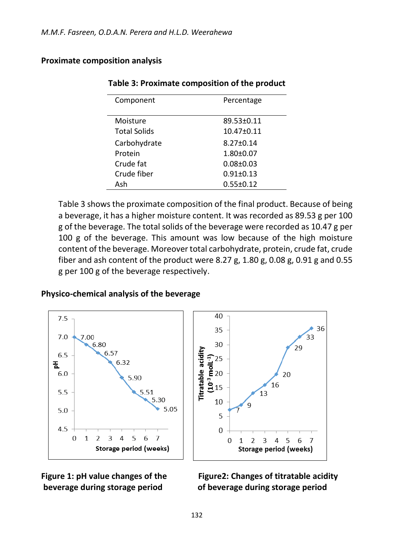#### **Proximate composition analysis**

| Component           | Percentage       |
|---------------------|------------------|
| Moisture            | 89.53±0.11       |
| <b>Total Solids</b> | $10.47 \pm 0.11$ |
| Carbohydrate        | $8.27 \pm 0.14$  |
| Protein             | $1.80 + 0.07$    |
| Crude fat           | $0.08 + 0.03$    |
| Crude fiber         | $0.91 \pm 0.13$  |
| Ash                 | $0.55 \pm 0.12$  |

#### **Table 3: Proximate composition of the product**

Table 3 shows the proximate composition of the final product. Because of being a beverage, it has a higher moisture content. It was recorded as 89.53 g per 100 g of the beverage. The total solids of the beverage were recorded as 10.47 g per 100 g of the beverage. This amount was low because of the high moisture content of the beverage. Moreover total carbohydrate, protein, crude fat, crude fiber and ash content of the product were 8.27 g, 1.80 g, 0.08 g, 0.91 g and 0.55 g per 100 g of the beverage respectively.

#### **Physico-chemical analysis of the beverage**







# Figure 1: pH value changes of the Figure2: Changes of titratable acidity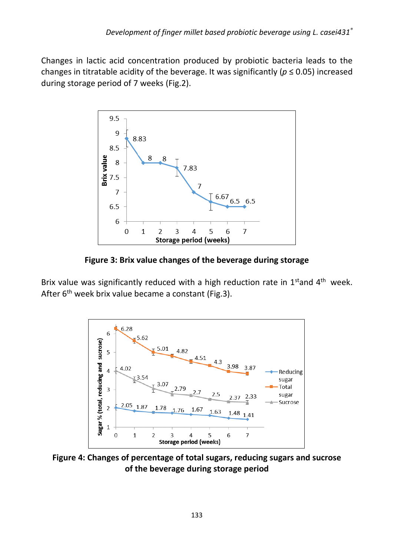Changes in lactic acid concentration produced by probiotic bacteria leads to the changes in titratable acidity of the beverage. It was significantly ( $p \le 0.05$ ) increased during storage period of 7 weeks (Fig.2).



**Figure 3: Brix value changes of the beverage during storage** 

Brix value was significantly reduced with a high reduction rate in  $1<sup>st</sup>$  and  $4<sup>th</sup>$  week. After 6<sup>th</sup> week brix value became a constant (Fig.3).



**Figure 4: Changes of percentage of total sugars, reducing sugars and sucrose of the beverage during storage period**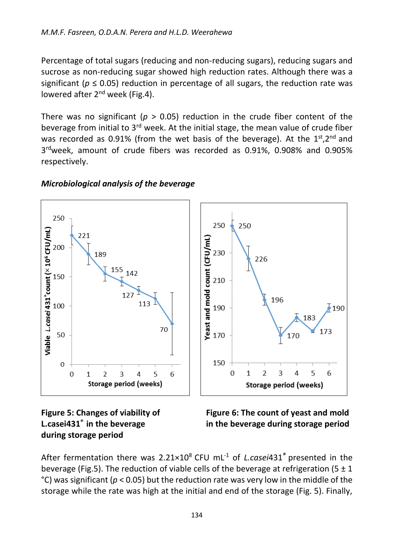Percentage of total sugars (reducing and non-reducing sugars), reducing sugars and sucrose as non-reducing sugar showed high reduction rates. Although there was a significant ( $p \le 0.05$ ) reduction in percentage of all sugars, the reduction rate was lowered after  $2<sup>nd</sup>$  week (Fig.4).

There was no significant ( $p > 0.05$ ) reduction in the crude fiber content of the beverage from initial to  $3<sup>rd</sup>$  week. At the initial stage, the mean value of crude fiber was recorded as 0.91% (from the wet basis of the beverage). At the  $1^{st}$ ,  $2^{nd}$  and 3 rdweek, amount of crude fibers was recorded as 0.91%, 0.908% and 0.905% respectively.

#### 250 250 250 /iable L.casei 431°count (× 10° CFU/mL) 221 Yeast and mold count (CFU/mL) 200 230 189 226 155 142 150 210 127 196 113 100 190 190 183 70 173 50 170 170 150 0  $\overline{0}$  $\mathbf{1}$ 2 3 4 5 6  $\overline{0}$  $\overline{1}$  $\overline{2}$ 3 4 5 6 Storage period (weeks) Storage period (weeks)

#### *Microbiological analysis of the beverage*

**during storage period** 

Figure 5: Changes of viability of Figure 6: The count of yeast and mold **L.casei431® in the beverage in the beverage during storage period** 

After fermentation there was 2.21×10<sup>8</sup> CFU mL<sup>-1</sup> of *L.casei*431<sup>®</sup> presented in the beverage (Fig.5). The reduction of viable cells of the beverage at refrigeration (5  $\pm$  1 °C) was significant (*p* < 0.05) but the reduction rate was very low in the middle of the storage while the rate was high at the initial and end of the storage (Fig. 5). Finally,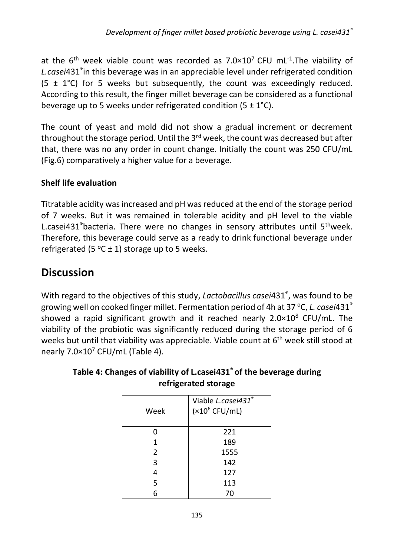at the 6<sup>th</sup> week viable count was recorded as  $7.0\times10^{7}$  CFU mL<sup>-1</sup>. The viability of *L.casei*431® in this beverage was in an appreciable level under refrigerated condition (5  $\pm$  1°C) for 5 weeks but subsequently, the count was exceedingly reduced. According to this result, the finger millet beverage can be considered as a functional beverage up to 5 weeks under refrigerated condition  $(5 \pm 1^{\circ}C)$ .

The count of yeast and mold did not show a gradual increment or decrement throughout the storage period. Until the  $3<sup>rd</sup>$  week, the count was decreased but after that, there was no any order in count change. Initially the count was 250 CFU/mL (Fig.6) comparatively a higher value for a beverage.

#### **Shelf life evaluation**

Titratable acidity was increased and pH was reduced at the end of the storage period of 7 weeks. But it was remained in tolerable acidity and pH level to the viable L.casei431**®**bacteria. There were no changes in sensory attributes until 5thweek. Therefore, this beverage could serve as a ready to drink functional beverage under refrigerated (5  $\degree$ C ± 1) storage up to 5 weeks.

## **Discussion**

With regard to the objectives of this study, *Lactobacillus casei*431® , was found to be growing well on cooked finger millet. Fermentation period of 4h at 37 °C, *L. casei*431<sup>°</sup> showed a rapid significant growth and it reached nearly 2.0×10<sup>8</sup> CFU/mL. The viability of the probiotic was significantly reduced during the storage period of 6 weeks but until that viability was appreciable. Viable count at 6<sup>th</sup> week still stood at nearly 7.0×10<sup>7</sup> CFU/mL (Table 4).

| Week           | Viable L.casei431®<br>$(x10^6 CFU/mL)$ |
|----------------|----------------------------------------|
| 0              | 221                                    |
| 1              | 189                                    |
| $\overline{2}$ | 1555                                   |
| 3              | 142                                    |
| 4              | 127                                    |
| 5              | 113                                    |
| 6              | 70                                     |

#### **Table 4: Changes of viability of L.casei431® of the beverage during refrigerated storage**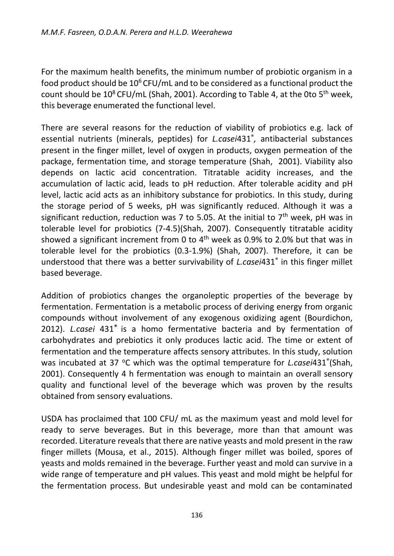For the maximum health benefits, the minimum number of probiotic organism in a food product should be  $10^6$  CFU/mL and to be considered as a functional product the count should be  $10^8$  CFU/mL (Shah, 2001). According to Table 4, at the 0to 5<sup>th</sup> week, this beverage enumerated the functional level.

There are several reasons for the reduction of viability of probiotics e.g. lack of essential nutrients (minerals, peptides) for *L.casei*431® *,* antibacterial substances present in the finger millet, level of oxygen in products, oxygen permeation of the package, fermentation time, and storage temperature (Shah, 2001). Viability also depends on lactic acid concentration. Titratable acidity increases, and the accumulation of lactic acid, leads to pH reduction. After tolerable acidity and pH level, lactic acid acts as an inhibitory substance for probiotics. In this study, during the storage period of 5 weeks, pH was significantly reduced. Although it was a significant reduction, reduction was 7 to 5.05. At the initial to  $7<sup>th</sup>$  week, pH was in tolerable level for probiotics (7-4.5)(Shah, 2007). Consequently titratable acidity showed a significant increment from 0 to  $4<sup>th</sup>$  week as 0.9% to 2.0% but that was in tolerable level for the probiotics (0.3-1.9%) (Shah, 2007). Therefore, it can be understood that there was a better survivability of *L.casei*431® in this finger millet based beverage.

Addition of probiotics changes the organoleptic properties of the beverage by fermentation. Fermentation is a metabolic process of deriving energy from organic compounds without involvement of any exogenous oxidizing agent (Bourdichon, 2012). *L.casei* 431*®* is a homo fermentative bacteria and by fermentation of carbohydrates and prebiotics it only produces lactic acid. The time or extent of fermentation and the temperature affects sensory attributes. In this study, solution was incubated at 37 °C which was the optimal temperature for *L.casei*431<sup>®</sup>(Shah, 2001). Consequently 4 h fermentation was enough to maintain an overall sensory quality and functional level of the beverage which was proven by the results obtained from sensory evaluations.

USDA has proclaimed that 100 CFU/ mL as the maximum yeast and mold level for ready to serve beverages. But in this beverage, more than that amount was recorded. Literature reveals that there are native yeasts and mold present in the raw finger millets (Mousa, et al., 2015). Although finger millet was boiled, spores of yeasts and molds remained in the beverage. Further yeast and mold can survive in a wide range of temperature and pH values. This yeast and mold might be helpful for the fermentation process. But undesirable yeast and mold can be contaminated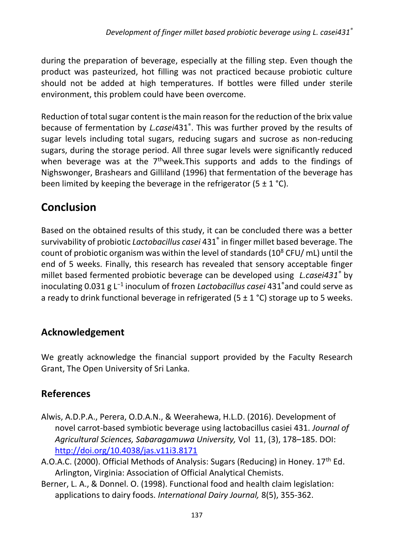during the preparation of beverage, especially at the filling step. Even though the product was pasteurized, hot filling was not practiced because probiotic culture should not be added at high temperatures. If bottles were filled under sterile environment, this problem could have been overcome.

Reduction of total sugar content is the main reason for the reduction of the brix value because of fermentation by *L.casei*431® . This was further proved by the results of sugar levels including total sugars, reducing sugars and sucrose as non-reducing sugars, during the storage period. All three sugar levels were significantly reduced when beverage was at the  $7<sup>th</sup>$  week. This supports and adds to the findings of Nighswonger, Brashears and Gilliland (1996) that fermentation of the beverage has been limited by keeping the beverage in the refrigerator  $(5 \pm 1 \degree C)$ .

## **Conclusion**

Based on the obtained results of this study, it can be concluded there was a better survivability of probiotic *Lactobacillus casei* 431® in finger millet based beverage. The count of probiotic organism was within the level of standards (10<sup>8</sup> CFU/mL) until the end of 5 weeks. Finally, this research has revealed that sensory acceptable finger millet based fermented probiotic beverage can be developed using *L.casei431®* by inoculating 0.031 g L<sup>-1</sup> inoculum of frozen *Lactobacillus casei* 431<sup>®</sup>and could serve as a ready to drink functional beverage in refrigerated (5  $\pm$  1 °C) storage up to 5 weeks.

## **Acknowledgement**

We greatly acknowledge the financial support provided by the Faculty Research Grant, The Open University of Sri Lanka.

## **References**

- Alwis, A.D.P.A., Perera, O.D.A.N., & Weerahewa, H.L.D. (2016). Development of novel carrot-based symbiotic beverage using lactobacillus casiei 431. *Journal of Agricultural Sciences, Sabaragamuwa University,* Vol 11, (3), 178–185. DOI: <http://doi.org/10.4038/jas.v11i3.8171>
- A.O.A.C. (2000). Official Methods of Analysis: Sugars (Reducing) in Honey.  $17<sup>th</sup>$  Ed. Arlington, Virginia: Association of Official Analytical Chemists.
- Berner, L. A., & Donnel. O. (1998). Functional food and health claim legislation: applications to dairy foods. *International Dairy Journal,* 8(5), 355-362.